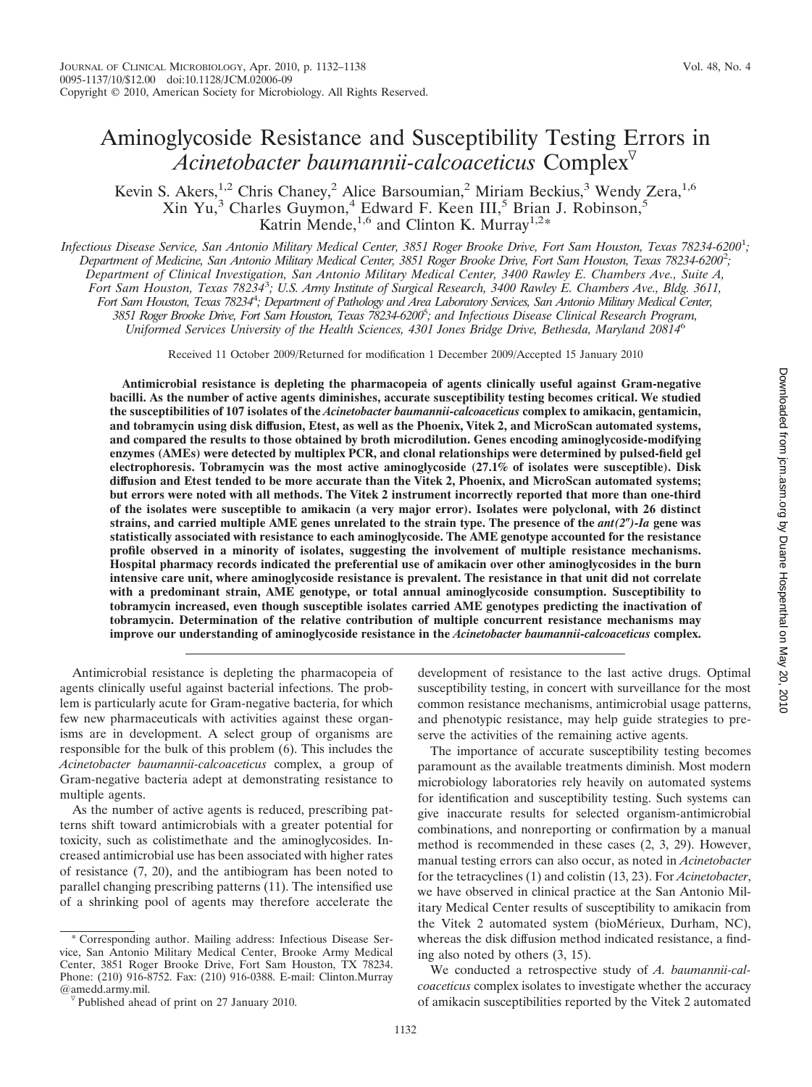# Aminoglycoside Resistance and Susceptibility Testing Errors in *Acinetobacter baumannii-calcoaceticus* Complex

Kevin S. Akers,<sup>1,2</sup> Chris Chaney,<sup>2</sup> Alice Barsoumian,<sup>2</sup> Miriam Beckius,<sup>3</sup> Wendy Zera,<sup>1,6</sup> Xin Yu,<sup>3</sup> Charles Guymon,<sup>4</sup> Edward F. Keen III,<sup>5</sup> Brian J. Robinson,<sup>5</sup> Katrin Mende,<sup>1,6</sup> and Clinton K. Murray<sup>1,2\*</sup>

*Infectious Disease Service, San Antonio Military Medical Center, 3851 Roger Brooke Drive, Fort Sam Houston, Texas 78234-6200*<sup>1</sup> *; Department of Medicine, San Antonio Military Medical Center, 3851 Roger Brooke Drive, Fort Sam Houston, Texas 78234-6200*<sup>2</sup> *; Department of Clinical Investigation, San Antonio Military Medical Center, 3400 Rawley E. Chambers Ave., Suite A, Fort Sam Houston, Texas 78234*<sup>3</sup> *; U.S. Army Institute of Surgical Research, 3400 Rawley E. Chambers Ave., Bldg. 3611, Fort Sam Houston, Texas 78234*<sup>4</sup> *; Department of Pathology and Area Laboratory Services, San Antonio Military Medical Center, 3851 Roger Brooke Drive, Fort Sam Houston, Texas 78234-6200*<sup>5</sup> *; and Infectious Disease Clinical Research Program, Uniformed Services University of the Health Sciences, 4301 Jones Bridge Drive, Bethesda, Maryland 20814*<sup>6</sup>

Received 11 October 2009/Returned for modification 1 December 2009/Accepted 15 January 2010

**Antimicrobial resistance is depleting the pharmacopeia of agents clinically useful against Gram-negative bacilli. As the number of active agents diminishes, accurate susceptibility testing becomes critical. We studied the susceptibilities of 107 isolates of the** *Acinetobacter baumannii-calcoaceticus* **complex to amikacin, gentamicin, and tobramycin using disk diffusion, Etest, as well as the Phoenix, Vitek 2, and MicroScan automated systems, and compared the results to those obtained by broth microdilution. Genes encoding aminoglycoside-modifying enzymes (AMEs) were detected by multiplex PCR, and clonal relationships were determined by pulsed-field gel electrophoresis. Tobramycin was the most active aminoglycoside (27.1% of isolates were susceptible). Disk diffusion and Etest tended to be more accurate than the Vitek 2, Phoenix, and MicroScan automated systems; but errors were noted with all methods. The Vitek 2 instrument incorrectly reported that more than one-third of the isolates were susceptible to amikacin (a very major error). Isolates were polyclonal, with 26 distinct strains, and carried multiple AME genes unrelated to the strain type. The presence of the** *ant(2)-Ia* **gene was statistically associated with resistance to each aminoglycoside. The AME genotype accounted for the resistance profile observed in a minority of isolates, suggesting the involvement of multiple resistance mechanisms. Hospital pharmacy records indicated the preferential use of amikacin over other aminoglycosides in the burn intensive care unit, where aminoglycoside resistance is prevalent. The resistance in that unit did not correlate with a predominant strain, AME genotype, or total annual aminoglycoside consumption. Susceptibility to tobramycin increased, even though susceptible isolates carried AME genotypes predicting the inactivation of tobramycin. Determination of the relative contribution of multiple concurrent resistance mechanisms may improve our understanding of aminoglycoside resistance in the** *Acinetobacter baumannii-calcoaceticus* **complex.**

Antimicrobial resistance is depleting the pharmacopeia of agents clinically useful against bacterial infections. The problem is particularly acute for Gram-negative bacteria, for which few new pharmaceuticals with activities against these organisms are in development. A select group of organisms are responsible for the bulk of this problem (6). This includes the *Acinetobacter baumannii-calcoaceticus* complex, a group of Gram-negative bacteria adept at demonstrating resistance to multiple agents.

As the number of active agents is reduced, prescribing patterns shift toward antimicrobials with a greater potential for toxicity, such as colistimethate and the aminoglycosides. Increased antimicrobial use has been associated with higher rates of resistance (7, 20), and the antibiogram has been noted to parallel changing prescribing patterns (11). The intensified use of a shrinking pool of agents may therefore accelerate the

\* Corresponding author. Mailing address: Infectious Disease Service, San Antonio Military Medical Center, Brooke Army Medical Center, 3851 Roger Brooke Drive, Fort Sam Houston, TX 78234. Phone: (210) 916-8752. Fax: (210) 916-0388. E-mail: Clinton.Murray development of resistance to the last active drugs. Optimal susceptibility testing, in concert with surveillance for the most common resistance mechanisms, antimicrobial usage patterns, and phenotypic resistance, may help guide strategies to preserve the activities of the remaining active agents.

The importance of accurate susceptibility testing becomes paramount as the available treatments diminish. Most modern microbiology laboratories rely heavily on automated systems for identification and susceptibility testing. Such systems can give inaccurate results for selected organism-antimicrobial combinations, and nonreporting or confirmation by a manual method is recommended in these cases (2, 3, 29). However, manual testing errors can also occur, as noted in *Acinetobacter* for the tetracyclines (1) and colistin (13, 23). For *Acinetobacter*, we have observed in clinical practice at the San Antonio Military Medical Center results of susceptibility to amikacin from the Vitek 2 automated system (bioMérieux, Durham, NC), whereas the disk diffusion method indicated resistance, a finding also noted by others (3, 15).

We conducted a retrospective study of *A. baumannii-calcoaceticus* complex isolates to investigate whether the accuracy of amikacin susceptibilities reported by the Vitek 2 automated

Published ahead of print on 27 January 2010.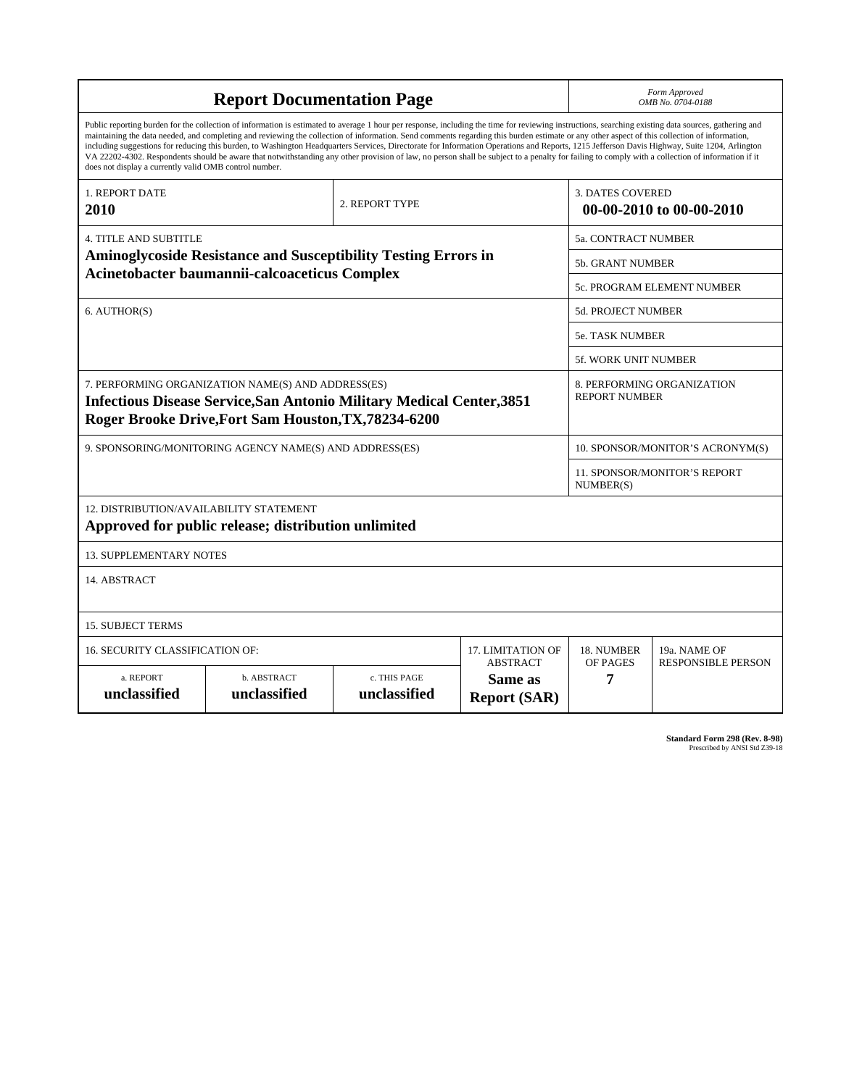| <b>Report Documentation Page</b>                       |                                                                                                                                                                                                                                                                                                                                                                                                                                                                                                                                                                                                                                                                                                                                                                                                          |                                             |                                                  |                                                     | Form Approved<br>OMB No. 0704-0188 |  |  |
|--------------------------------------------------------|----------------------------------------------------------------------------------------------------------------------------------------------------------------------------------------------------------------------------------------------------------------------------------------------------------------------------------------------------------------------------------------------------------------------------------------------------------------------------------------------------------------------------------------------------------------------------------------------------------------------------------------------------------------------------------------------------------------------------------------------------------------------------------------------------------|---------------------------------------------|--------------------------------------------------|-----------------------------------------------------|------------------------------------|--|--|
| does not display a currently valid OMB control number. | Public reporting burden for the collection of information is estimated to average 1 hour per response, including the time for reviewing instructions, searching existing data sources, gathering and<br>maintaining the data needed, and completing and reviewing the collection of information. Send comments regarding this burden estimate or any other aspect of this collection of information,<br>including suggestions for reducing this burden, to Washington Headquarters Services, Directorate for Information Operations and Reports, 1215 Jefferson Davis Highway, Suite 1204, Arlington<br>VA 22202-4302. Respondents should be aware that notwithstanding any other provision of law, no person shall be subject to a penalty for failing to comply with a collection of information if it |                                             |                                                  |                                                     |                                    |  |  |
| 1. REPORT DATE<br>2010                                 | 2. REPORT TYPE                                                                                                                                                                                                                                                                                                                                                                                                                                                                                                                                                                                                                                                                                                                                                                                           |                                             |                                                  | <b>3. DATES COVERED</b><br>00-00-2010 to 00-00-2010 |                                    |  |  |
| <b>4. TITLE AND SUBTITLE</b>                           |                                                                                                                                                                                                                                                                                                                                                                                                                                                                                                                                                                                                                                                                                                                                                                                                          |                                             |                                                  | 5a. CONTRACT NUMBER                                 |                                    |  |  |
|                                                        | <b>Aminoglycoside Resistance and Susceptibility Testing Errors in</b>                                                                                                                                                                                                                                                                                                                                                                                                                                                                                                                                                                                                                                                                                                                                    |                                             |                                                  | 5b. GRANT NUMBER                                    |                                    |  |  |
|                                                        | Acinetobacter baumannii-calcoaceticus Complex                                                                                                                                                                                                                                                                                                                                                                                                                                                                                                                                                                                                                                                                                                                                                            |                                             |                                                  |                                                     | 5c. PROGRAM ELEMENT NUMBER         |  |  |
| 6. AUTHOR(S)                                           |                                                                                                                                                                                                                                                                                                                                                                                                                                                                                                                                                                                                                                                                                                                                                                                                          |                                             |                                                  | <b>5d. PROJECT NUMBER</b>                           |                                    |  |  |
|                                                        |                                                                                                                                                                                                                                                                                                                                                                                                                                                                                                                                                                                                                                                                                                                                                                                                          |                                             |                                                  | 5e. TASK NUMBER                                     |                                    |  |  |
|                                                        |                                                                                                                                                                                                                                                                                                                                                                                                                                                                                                                                                                                                                                                                                                                                                                                                          | 5f. WORK UNIT NUMBER                        |                                                  |                                                     |                                    |  |  |
|                                                        | 7. PERFORMING ORGANIZATION NAME(S) AND ADDRESS(ES)<br><b>Infectious Disease Service, San Antonio Military Medical Center, 3851</b><br>Roger Brooke Drive, Fort Sam Houston, TX, 78234-6200                                                                                                                                                                                                                                                                                                                                                                                                                                                                                                                                                                                                               | 8. PERFORMING ORGANIZATION<br>REPORT NUMBER |                                                  |                                                     |                                    |  |  |
|                                                        | 9. SPONSORING/MONITORING AGENCY NAME(S) AND ADDRESS(ES)                                                                                                                                                                                                                                                                                                                                                                                                                                                                                                                                                                                                                                                                                                                                                  |                                             |                                                  | 10. SPONSOR/MONITOR'S ACRONYM(S)                    |                                    |  |  |
|                                                        |                                                                                                                                                                                                                                                                                                                                                                                                                                                                                                                                                                                                                                                                                                                                                                                                          |                                             | <b>11. SPONSOR/MONITOR'S REPORT</b><br>NUMBER(S) |                                                     |                                    |  |  |
| 12. DISTRIBUTION/AVAILABILITY STATEMENT                | Approved for public release; distribution unlimited                                                                                                                                                                                                                                                                                                                                                                                                                                                                                                                                                                                                                                                                                                                                                      |                                             |                                                  |                                                     |                                    |  |  |
| <b>13. SUPPLEMENTARY NOTES</b>                         |                                                                                                                                                                                                                                                                                                                                                                                                                                                                                                                                                                                                                                                                                                                                                                                                          |                                             |                                                  |                                                     |                                    |  |  |
| 14. ABSTRACT                                           |                                                                                                                                                                                                                                                                                                                                                                                                                                                                                                                                                                                                                                                                                                                                                                                                          |                                             |                                                  |                                                     |                                    |  |  |
| <b>15. SUBJECT TERMS</b>                               |                                                                                                                                                                                                                                                                                                                                                                                                                                                                                                                                                                                                                                                                                                                                                                                                          |                                             |                                                  |                                                     |                                    |  |  |
| 16. SECURITY CLASSIFICATION OF:<br>17. LIMITATION OF   |                                                                                                                                                                                                                                                                                                                                                                                                                                                                                                                                                                                                                                                                                                                                                                                                          |                                             |                                                  | 18. NUMBER                                          | 19a. NAME OF                       |  |  |
| a. REPORT<br>unclassified                              | <b>ABSTRACT</b><br>b. ABSTRACT<br>c. THIS PAGE<br>Same as<br>unclassified<br>unclassified<br><b>Report (SAR)</b>                                                                                                                                                                                                                                                                                                                                                                                                                                                                                                                                                                                                                                                                                         |                                             |                                                  | OF PAGES<br>7                                       | <b>RESPONSIBLE PERSON</b>          |  |  |

**Standard Form 298 (Rev. 8-98)**<br>Prescribed by ANSI Std Z39-18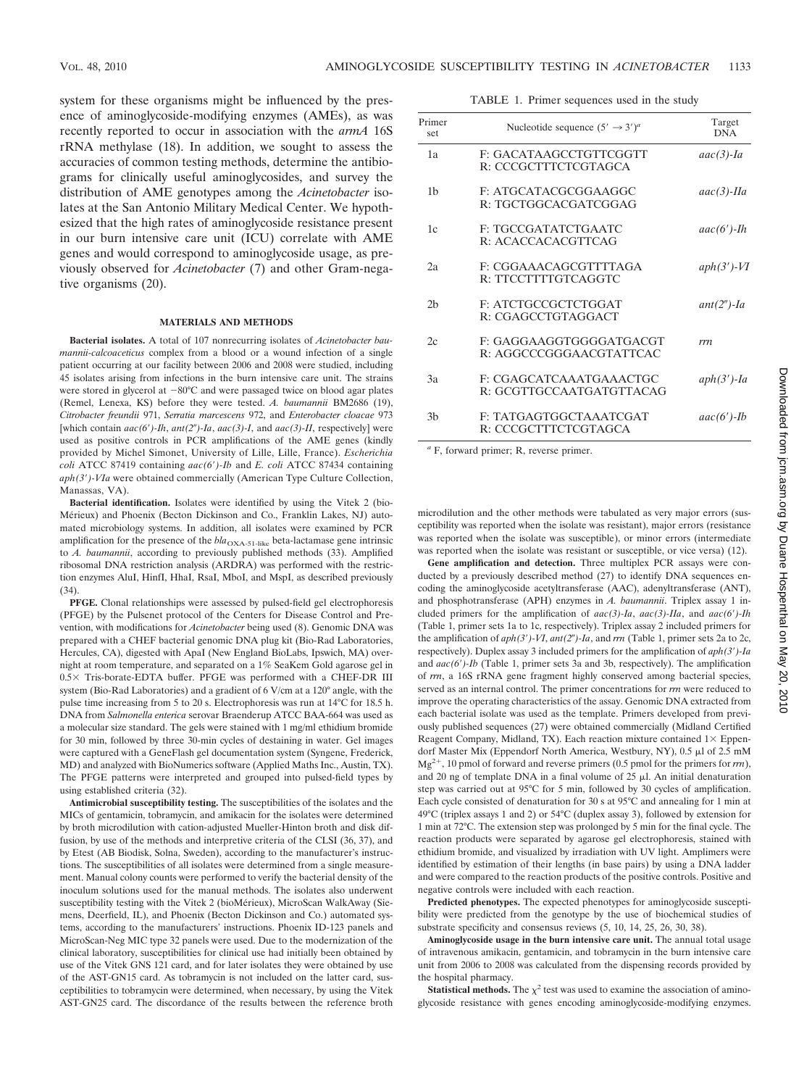system for these organisms might be influenced by the presence of aminoglycoside-modifying enzymes (AMEs), as was recently reported to occur in association with the *armA* 16S rRNA methylase (18). In addition, we sought to assess the accuracies of common testing methods, determine the antibiograms for clinically useful aminoglycosides, and survey the distribution of AME genotypes among the *Acinetobacter* isolates at the San Antonio Military Medical Center. We hypothesized that the high rates of aminoglycoside resistance present in our burn intensive care unit (ICU) correlate with AME genes and would correspond to aminoglycoside usage, as previously observed for *Acinetobacter* (7) and other Gram-negative organisms (20).

#### **MATERIALS AND METHODS**

**Bacterial isolates.** A total of 107 nonrecurring isolates of *Acinetobacter baumannii-calcoaceticus* complex from a blood or a wound infection of a single patient occurring at our facility between 2006 and 2008 were studied, including 45 isolates arising from infections in the burn intensive care unit. The strains were stored in glycerol at  $-80^{\circ}$ C and were passaged twice on blood agar plates (Remel, Lenexa, KS) before they were tested. *A. baumannii* BM2686 (19), *Citrobacter freundii* 971, *Serratia marcescens* 972, and *Enterobacter cloacae* 973 [which contain  $aac(6')$ -*Ih*,  $ant(2'')$ -*Ia*,  $aac(3)$ -*I*, and  $aac(3)$ -*II*, respectively] were used as positive controls in PCR amplifications of the AME genes (kindly provided by Michel Simonet, University of Lille, Lille, France). *Escherichia coli* ATCC 87419 containing *aac(6*-*)-Ib* and *E. coli* ATCC 87434 containing *aph(3*-*)-VIa* were obtained commercially (American Type Culture Collection, Manassas, VA).

**Bacterial identification.** Isolates were identified by using the Vitek 2 (bio-Mérieux) and Phoenix (Becton Dickinson and Co., Franklin Lakes, NJ) automated microbiology systems. In addition, all isolates were examined by PCR amplification for the presence of the  $bla_{\rm OXA{\text -}51{\text -}like}$  beta-lactamase gene intrinsic to *A. baumannii*, according to previously published methods (33). Amplified ribosomal DNA restriction analysis (ARDRA) was performed with the restriction enzymes AluI, HinfI, HhaI, RsaI, MboI, and MspI, as described previously (34).

**PFGE.** Clonal relationships were assessed by pulsed-field gel electrophoresis (PFGE) by the Pulsenet protocol of the Centers for Disease Control and Prevention, with modifications for *Acinetobacter* being used (8). Genomic DNA was prepared with a CHEF bacterial genomic DNA plug kit (Bio-Rad Laboratories, Hercules, CA), digested with ApaI (New England BioLabs, Ipswich, MA) overnight at room temperature, and separated on a 1% SeaKem Gold agarose gel in  $0.5\times$  Tris-borate-EDTA buffer. PFGE was performed with a CHEF-DR III system (Bio-Rad Laboratories) and a gradient of 6 V/cm at a 120° angle, with the pulse time increasing from 5 to 20 s. Electrophoresis was run at 14°C for 18.5 h. DNA from *Salmonella enterica* serovar Braenderup ATCC BAA-664 was used as a molecular size standard. The gels were stained with 1 mg/ml ethidium bromide for 30 min, followed by three 30-min cycles of destaining in water. Gel images were captured with a GeneFlash gel documentation system (Syngene, Frederick, MD) and analyzed with BioNumerics software (Applied Maths Inc., Austin, TX). The PFGE patterns were interpreted and grouped into pulsed-field types by using established criteria (32).

**Antimicrobial susceptibility testing.** The susceptibilities of the isolates and the MICs of gentamicin, tobramycin, and amikacin for the isolates were determined by broth microdilution with cation-adjusted Mueller-Hinton broth and disk diffusion, by use of the methods and interpretive criteria of the CLSI (36, 37), and by Etest (AB Biodisk, Solna, Sweden), according to the manufacturer's instructions. The susceptibilities of all isolates were determined from a single measurement. Manual colony counts were performed to verify the bacterial density of the inoculum solutions used for the manual methods. The isolates also underwent susceptibility testing with the Vitek 2 (bioMérieux), MicroScan WalkAway (Siemens, Deerfield, IL), and Phoenix (Becton Dickinson and Co.) automated systems, according to the manufacturers' instructions. Phoenix ID-123 panels and MicroScan-Neg MIC type 32 panels were used. Due to the modernization of the clinical laboratory, susceptibilities for clinical use had initially been obtained by use of the Vitek GNS 121 card, and for later isolates they were obtained by use of the AST-GN15 card. As tobramycin is not included on the latter card, susceptibilities to tobramycin were determined, when necessary, by using the Vitek AST-GN25 card. The discordance of the results between the reference broth

|  |  |  | TABLE 1. Primer sequences used in the study |  |  |  |  |
|--|--|--|---------------------------------------------|--|--|--|--|
|--|--|--|---------------------------------------------|--|--|--|--|

| Primer<br>set  | Nucleotide sequence $(5' \rightarrow 3')^a$         | Target<br><b>DNA</b> |
|----------------|-----------------------------------------------------|----------------------|
| 1a             | F: GACATAAGCCTGTTCGGTT<br>R: CCCGCTTTCTCGTAGCA      | $aac(3)$ -Ia         |
| 1 <sub>b</sub> | F: ATGCATACGCGGAAGGC<br>R: TGCTGGCACGATCGGAG        | $aac(3)$ -IIa        |
| 1c             | F: TGCCGATATCTGAATC<br>R: ACACCACACGTTCAG           | $aac(6')$ -Ih        |
| 2a             | F: CGGAAACAGCGTTTTAGA<br>R: TTCCTTTTGTCAGGTC        | $aph(3')-VI$         |
| 2 <sub>b</sub> | F: ATCTGCCGCTCTGGAT<br>R: CGAGCCTGTAGGACT           | $ant(2")$ -Ia        |
| 2c             | F: GAGGAAGGTGGGGATGACGT<br>R: AGGCCCGGGAACGTATTCAC  | rrn                  |
| 3a             | F: CGAGCATCAAATGAAACTGC<br>R: GCGTTGCCAATGATGTTACAG | $aph(3')$ -Ia        |
| 3 <sub>b</sub> | F: TATGAGTGGCTAAATCGAT<br>R: CCCGCTTTCTCGTAGCA      | $aac(6')$ -Ib        |

*<sup>a</sup>* F, forward primer; R, reverse primer.

microdilution and the other methods were tabulated as very major errors (susceptibility was reported when the isolate was resistant), major errors (resistance was reported when the isolate was susceptible), or minor errors (intermediate was reported when the isolate was resistant or susceptible, or vice versa) (12).

**Gene amplification and detection.** Three multiplex PCR assays were conducted by a previously described method (27) to identify DNA sequences encoding the aminoglycoside acetyltransferase (AAC), adenyltransferase (ANT), and phosphotransferase (APH) enzymes in *A. baumannii*. Triplex assay 1 included primers for the amplification of *aac(3)-Ia*, *aac(3)-IIa*, and *aac(6*-*)-Ih* (Table 1, primer sets 1a to 1c, respectively). Triplex assay 2 included primers for the amplification of *aph(3*-*)-VI*, *ant(2)-Ia*, and *rrn* (Table 1, primer sets 2a to 2c, respectively). Duplex assay 3 included primers for the amplification of *aph(3*-*)-Ia* and *aac(6'*)-*Ib* (Table 1, primer sets 3a and 3b, respectively). The amplification of *rrn*, a 16S rRNA gene fragment highly conserved among bacterial species, served as an internal control. The primer concentrations for *rrn* were reduced to improve the operating characteristics of the assay. Genomic DNA extracted from each bacterial isolate was used as the template. Primers developed from previously published sequences (27) were obtained commercially (Midland Certified Reagent Company, Midland, TX). Each reaction mixture contained  $1\times$  Eppendorf Master Mix (Eppendorf North America, Westbury, NY), 0.5 µl of 2.5 mM  $Mg^{2+}$ , 10 pmol of forward and reverse primers (0.5 pmol for the primers for *rrn*), and 20 ng of template DNA in a final volume of  $25 \mu$ l. An initial denaturation step was carried out at 95°C for 5 min, followed by 30 cycles of amplification. Each cycle consisted of denaturation for 30 s at 95°C and annealing for 1 min at 49°C (triplex assays 1 and 2) or 54°C (duplex assay 3), followed by extension for 1 min at 72°C. The extension step was prolonged by 5 min for the final cycle. The reaction products were separated by agarose gel electrophoresis, stained with ethidium bromide, and visualized by irradiation with UV light. Amplimers were identified by estimation of their lengths (in base pairs) by using a DNA ladder and were compared to the reaction products of the positive controls. Positive and negative controls were included with each reaction.

**Predicted phenotypes.** The expected phenotypes for aminoglycoside susceptibility were predicted from the genotype by the use of biochemical studies of substrate specificity and consensus reviews (5, 10, 14, 25, 26, 30, 38).

**Aminoglycoside usage in the burn intensive care unit.** The annual total usage of intravenous amikacin, gentamicin, and tobramycin in the burn intensive care unit from 2006 to 2008 was calculated from the dispensing records provided by the hospital pharmacy.

**Statistical methods.** The  $\chi^2$  test was used to examine the association of aminoglycoside resistance with genes encoding aminoglycoside-modifying enzymes.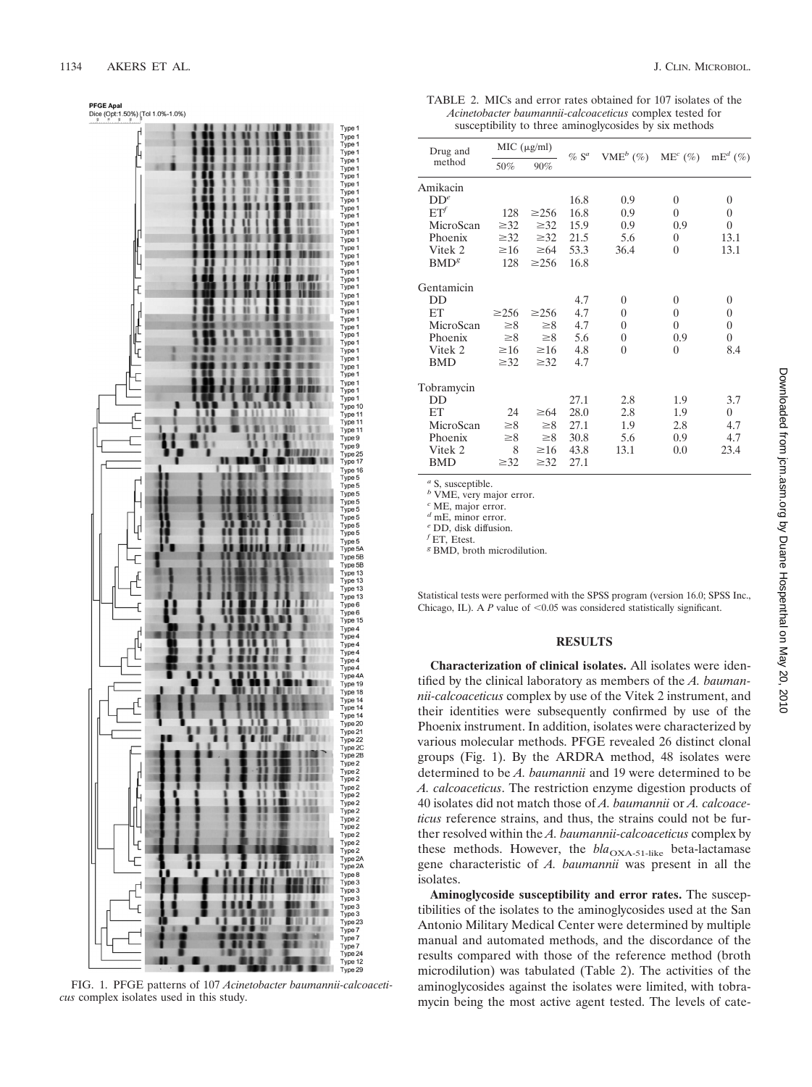**PFGE Apal**<br>Dice (Opt:1.50%) (Tol 1.0%-1.0%)



FIG. 1. PFGE patterns of 107 *Acinetobacter baumannii-calcoaceticus* complex isolates used in this study.

TABLE 2. MICs and error rates obtained for 107 isolates of the *Acinetobacter baumannii-calcoaceticus* complex tested for susceptibility to three aminoglycosides by six methods

| Drug and         | MIC (µg/ml) |            | $% S^a$ | VME <sup><math>b</math></sup> (%) | $MEc(\%)$ | $mE^d$ (%)     |  |
|------------------|-------------|------------|---------|-----------------------------------|-----------|----------------|--|
| method           | 50%         | 90%        |         |                                   |           |                |  |
| Amikacin         |             |            |         |                                   |           |                |  |
| $DD^e$           |             |            | 16.8    | 0.9                               | 0         | $\theta$       |  |
| ET <sup>f</sup>  | 128         | $\geq 256$ | 16.8    | 0.9                               | $\theta$  | $\theta$       |  |
| MicroScan        | $\geq 32$   | $\geq 32$  | 15.9    | 0.9                               | 0.9       | $\theta$       |  |
| Phoenix          | $\geq 32$   | $\geq 32$  | 21.5    | 5.6                               | $\theta$  | 13.1           |  |
| Vitek 2          | $\geq 16$   | $\geq 64$  | 53.3    | 36.4                              | $\theta$  | 13.1           |  |
| BMD <sup>g</sup> | 128         | $\geq 256$ | 16.8    |                                   |           |                |  |
| Gentamicin       |             |            |         |                                   |           |                |  |
| DD               |             |            | 4.7     | $\overline{0}$                    | $\theta$  | $\theta$       |  |
| ET               | $\geq 256$  | $\geq 256$ | 4.7     | $\theta$                          | $\theta$  | $\theta$       |  |
| MicroScan        | $\geq$ 8    | $\geq 8$   | 4.7     | $\theta$                          | $\theta$  | $\overline{0}$ |  |
| Phoenix          | $\geq$ 8    | $\geq 8$   | 5.6     | $\theta$                          | 0.9       | $\theta$       |  |
| Vitek 2          | $\geq 16$   | $\geq 16$  | 4.8     | $\theta$                          | $\theta$  | 8.4            |  |
| <b>BMD</b>       | $\geq 32$   | $\geq 32$  | 4.7     |                                   |           |                |  |
| Tobramycin       |             |            |         |                                   |           |                |  |
| DD               |             |            | 27.1    | 2.8                               | 1.9       | 3.7            |  |
| ET               | 24          | $\geq 64$  | 28.0    | 2.8                               | 1.9       | $\theta$       |  |
| MicroScan        | $\geq 8$    | $\geq 8$   | 27.1    | 1.9                               | 2.8       | 4.7            |  |
| Phoenix          | $\geq 8$    | $\geq 8$   | 30.8    | 5.6                               | 0.9       | 4.7            |  |
| Vitek 2          | 8           | $\geq 16$  | 43.8    | 13.1                              | 0.0       | 23.4           |  |
| <b>BMD</b>       | $\geq 32$   | $\geq 32$  | 27.1    |                                   |           |                |  |

*<sup>a</sup>* S, susceptible.

*b* VME, very major error.

*<sup>c</sup>* ME, major error. *<sup>d</sup>* mE, minor error.

*<sup>e</sup>* DD, disk diffusion.

*<sup>f</sup>* ET, Etest.

*<sup>g</sup>* BMD, broth microdilution.

Statistical tests were performed with the SPSS program (version 16.0; SPSS Inc., Chicago, IL). A  $P$  value of  $\leq 0.05$  was considered statistically significant.

## **RESULTS**

**Characterization of clinical isolates.** All isolates were identified by the clinical laboratory as members of the *A. baumannii-calcoaceticus* complex by use of the Vitek 2 instrument, and their identities were subsequently confirmed by use of the Phoenix instrument. In addition, isolates were characterized by various molecular methods. PFGE revealed 26 distinct clonal groups (Fig. 1). By the ARDRA method, 48 isolates were determined to be *A. baumannii* and 19 were determined to be *A. calcoaceticus*. The restriction enzyme digestion products of 40 isolates did not match those of *A. baumannii* or *A. calcoaceticus* reference strains, and thus, the strains could not be further resolved within the *A. baumannii-calcoaceticus* complex by these methods. However, the *bla*<sub>OXA-51-like</sub> beta-lactamase gene characteristic of *A. baumannii* was present in all the isolates.

**Aminoglycoside susceptibility and error rates.** The susceptibilities of the isolates to the aminoglycosides used at the San Antonio Military Medical Center were determined by multiple manual and automated methods, and the discordance of the results compared with those of the reference method (broth microdilution) was tabulated (Table 2). The activities of the aminoglycosides against the isolates were limited, with tobramycin being the most active agent tested. The levels of cate-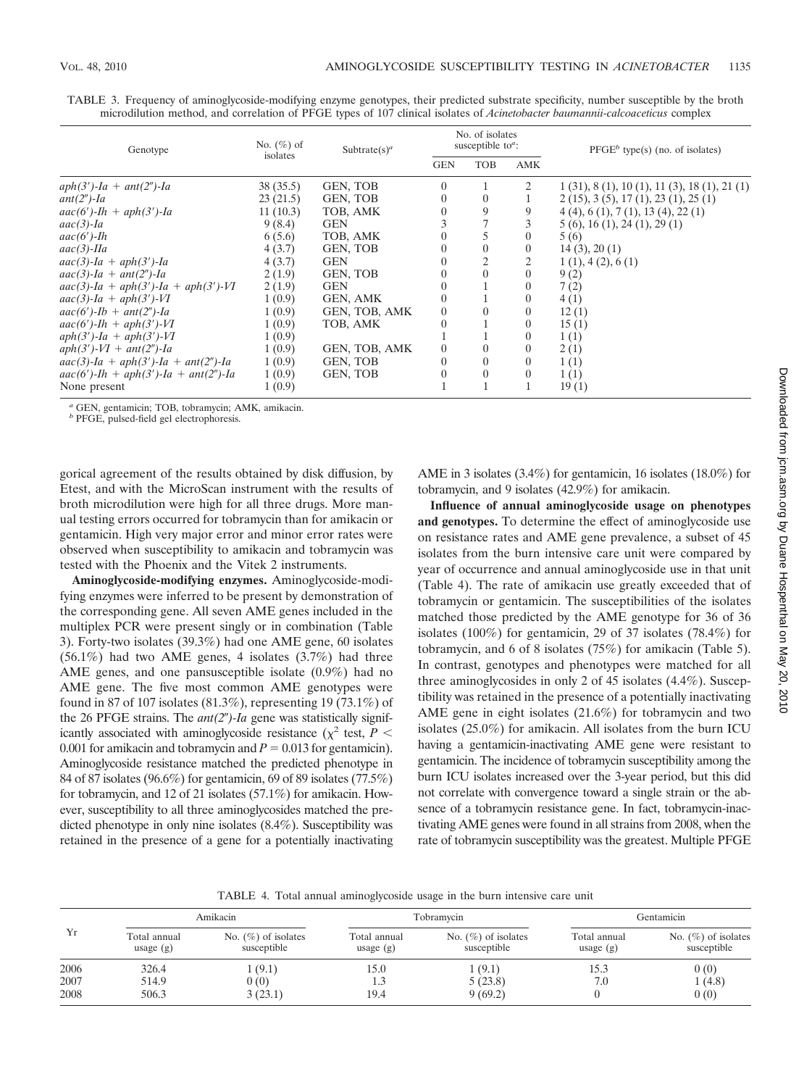TABLE 3. Frequency of aminoglycoside-modifying enzyme genotypes, their predicted substrate specificity, number susceptible by the broth microdilution method, and correlation of PFGE types of 107 clinical isolates of *Acinetobacter baumannii-calcoaceticus* complex

| Genotype                                | No. $(\%)$ of<br>isolates | Subtrate $(s)^a$ | No. of isolates<br>susceptible to <sup><math>a</math></sup> : |                |                  | $PFGEb$ type(s) (no. of isolates)                |
|-----------------------------------------|---------------------------|------------------|---------------------------------------------------------------|----------------|------------------|--------------------------------------------------|
|                                         |                           |                  | <b>GEN</b>                                                    | <b>TOB</b>     | <b>AMK</b>       |                                                  |
| $aph(3')$ -Ia + ant(2")-Ia              | 38 (35.5)                 | GEN, TOB         | $\overline{0}$                                                |                | 2                | $1(31), 8(1), 10(1), 11(3), 18(1), 21(1)$        |
| $ant(2")$ -Ia                           | 23(21.5)                  | GEN, TOB         | 0                                                             | $\theta$       |                  | $2(15)$ , 3(5), 17(1), 23(1), 25(1)              |
| $aac(6')$ -Ih + aph(3')-Ia              | 11(10.3)                  | TOB, AMK         |                                                               | 9              | 9                | $4(4)$ , 6 $(1)$ , 7 $(1)$ , 13 $(4)$ , 22 $(1)$ |
| $aac(3)$ -Ia                            | 9(8.4)                    | <b>GEN</b>       | 3                                                             | 7              | 3                | $5(6)$ , 16 $(1)$ , 24 $(1)$ , 29 $(1)$          |
| $aac(6')$ -Ih                           | 6(5.6)                    | TOB, AMK         |                                                               |                | $\boldsymbol{0}$ | 5(6)                                             |
| $aac(3)$ -IIa                           | 4(3.7)                    | GEN, TOB         | $\theta$                                                      | $\overline{0}$ | $\boldsymbol{0}$ | 14(3), 20(1)                                     |
| $aac(3)$ -Ia + aph(3')-Ia               | 4(3.7)                    | <b>GEN</b>       |                                                               |                | 2                | 1(1), 4(2), 6(1)                                 |
| $aac(3)$ -Ia + ant(2")-Ia               | 2(1.9)                    | GEN, TOB         |                                                               | $\theta$       | $\overline{0}$   | 9(2)                                             |
| $aac(3)$ -Ia + aph(3')-Ia + aph(3')-VI  | 2(1.9)                    | <b>GEN</b>       | $\theta$                                                      |                | $\boldsymbol{0}$ | 7(2)                                             |
| $aac(3)$ -Ia + aph(3')-VI               | 1(0.9)                    | GEN, AMK         | 0                                                             |                | $\overline{0}$   | 4(1)                                             |
| $aac(6') - Ib + ant(2'') - Ia$          | 1(0.9)                    | GEN, TOB, AMK    | $\theta$                                                      | $\theta$       | $\overline{0}$   | 12(1)                                            |
| $aac(6')$ -Ih + $aph(3')$ -VI           | 1(0.9)                    | TOB, AMK         |                                                               |                | $\overline{0}$   | 15(1)                                            |
| $aph(3')$ -Ia + $aph(3')$ -VI           | 1(0.9)                    |                  |                                                               |                | $\overline{0}$   | 1(1)                                             |
| $aph(3')-VI + ant(2'')-Ia$              | 1(0.9)                    | GEN, TOB, AMK    | 0                                                             | 0              | $\overline{0}$   | 2(1)                                             |
| $aac(3)$ -Ia + aph(3')-Ia + ant(2")-Ia  | 1(0.9)                    | GEN, TOB         | $\theta$                                                      | $\theta$       | $\overline{0}$   | 1(1)                                             |
| $aac(6')$ -Ih + aph(3')-Ia + ant(2")-Ia | 1(0.9)                    | GEN, TOB         |                                                               | $\theta$       | $\overline{0}$   | 1(1)                                             |
| None present                            | 1(0.9)                    |                  |                                                               |                |                  | 19(1)                                            |

*<sup>a</sup>* GEN, gentamicin; TOB, tobramycin; AMK, amikacin.

*<sup>b</sup>* PFGE, pulsed-field gel electrophoresis.

gorical agreement of the results obtained by disk diffusion, by Etest, and with the MicroScan instrument with the results of broth microdilution were high for all three drugs. More manual testing errors occurred for tobramycin than for amikacin or gentamicin. High very major error and minor error rates were observed when susceptibility to amikacin and tobramycin was tested with the Phoenix and the Vitek 2 instruments.

**Aminoglycoside-modifying enzymes.** Aminoglycoside-modifying enzymes were inferred to be present by demonstration of the corresponding gene. All seven AME genes included in the multiplex PCR were present singly or in combination (Table 3). Forty-two isolates (39.3%) had one AME gene, 60 isolates  $(56.1\%)$  had two AME genes, 4 isolates  $(3.7\%)$  had three AME genes, and one pansusceptible isolate (0.9%) had no AME gene. The five most common AME genotypes were found in 87 of 107 isolates (81.3%), representing 19 (73.1%) of the 26 PFGE strains. The *ant(2)-Ia* gene was statistically significantly associated with aminoglycoside resistance ( $\chi^2$  test, *P* < 0.001 for amikacin and tobramycin and  $P = 0.013$  for gentamicin). Aminoglycoside resistance matched the predicted phenotype in 84 of 87 isolates (96.6%) for gentamicin, 69 of 89 isolates (77.5%) for tobramycin, and 12 of 21 isolates (57.1%) for amikacin. However, susceptibility to all three aminoglycosides matched the predicted phenotype in only nine isolates (8.4%). Susceptibility was retained in the presence of a gene for a potentially inactivating

AME in 3 isolates (3.4%) for gentamicin, 16 isolates (18.0%) for tobramycin, and 9 isolates (42.9%) for amikacin.

**Influence of annual aminoglycoside usage on phenotypes and genotypes.** To determine the effect of aminoglycoside use on resistance rates and AME gene prevalence, a subset of 45 isolates from the burn intensive care unit were compared by year of occurrence and annual aminoglycoside use in that unit (Table 4). The rate of amikacin use greatly exceeded that of tobramycin or gentamicin. The susceptibilities of the isolates matched those predicted by the AME genotype for 36 of 36 isolates (100%) for gentamicin, 29 of 37 isolates (78.4%) for tobramycin, and 6 of 8 isolates (75%) for amikacin (Table 5). In contrast, genotypes and phenotypes were matched for all three aminoglycosides in only 2 of 45 isolates (4.4%). Susceptibility was retained in the presence of a potentially inactivating AME gene in eight isolates (21.6%) for tobramycin and two isolates (25.0%) for amikacin. All isolates from the burn ICU having a gentamicin-inactivating AME gene were resistant to gentamicin. The incidence of tobramycin susceptibility among the burn ICU isolates increased over the 3-year period, but this did not correlate with convergence toward a single strain or the absence of a tobramycin resistance gene. In fact, tobramycin-inactivating AME genes were found in all strains from 2008, when the rate of tobramycin susceptibility was the greatest. Multiple PFGE

TABLE 4. Total annual aminoglycoside usage in the burn intensive care unit

|      | Amikacin                    |                                       |                             | Tobramvcin                             | Gentamicin                  |                                       |  |
|------|-----------------------------|---------------------------------------|-----------------------------|----------------------------------------|-----------------------------|---------------------------------------|--|
| Yr   | Total annual<br>usage $(g)$ | No. $(\%)$ of isolates<br>susceptible | Total annual<br>usage $(g)$ | No. $(\% )$ of isolates<br>susceptible | Total annual<br>usage $(g)$ | No. $(\%)$ of isolates<br>susceptible |  |
| 2006 | 326.4                       | (9.1)                                 | 15.0                        | 1(9.1)                                 | 15.3                        | 0(0)                                  |  |
| 2007 | 514.9                       | 0(0)                                  | 1.3                         | 5(23.8)                                | 7.0                         | 1(4.8)                                |  |
| 2008 | 506.3                       | 3(23.1)                               | 19.4                        | 9(69.2)                                |                             | 0(0)                                  |  |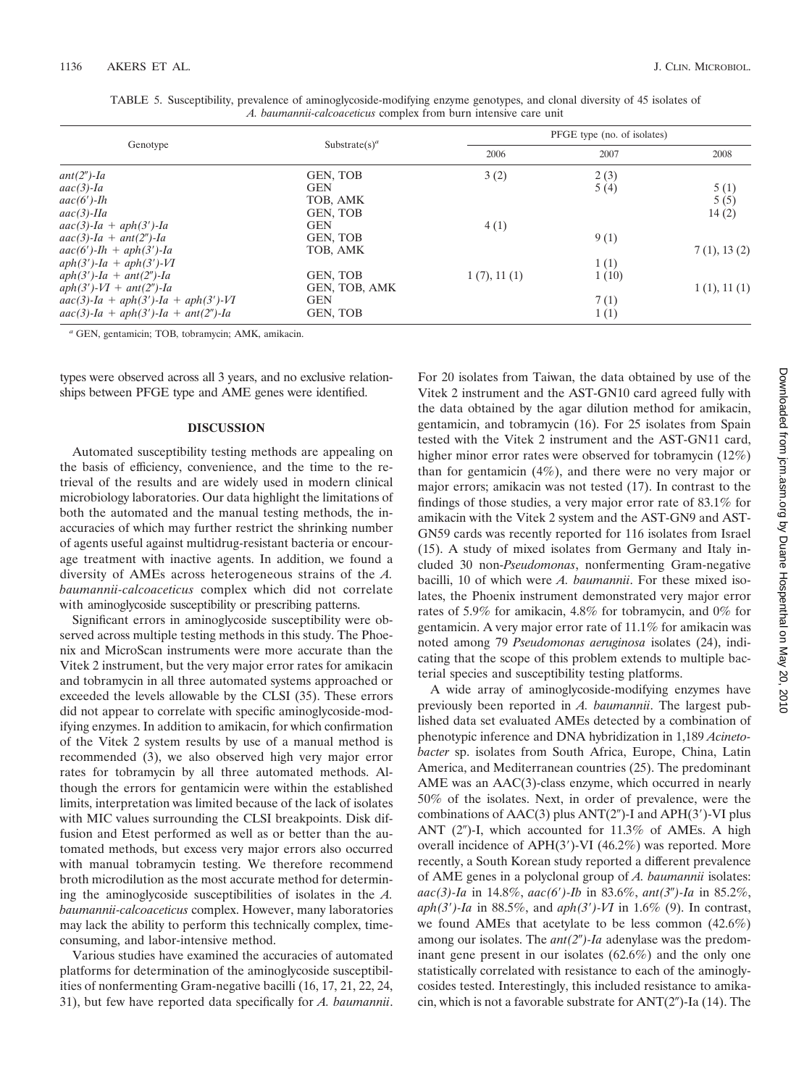|                                        |                           |             | PFGE type (no. of isolates) |             |  |  |
|----------------------------------------|---------------------------|-------------|-----------------------------|-------------|--|--|
| Genotype                               | Substrate(s) <sup>a</sup> | 2006        | 2007                        | 2008        |  |  |
| $ant(2")$ -Ia                          | GEN, TOB                  | 3(2)        | 2(3)                        |             |  |  |
| $aac(3)$ -Ia                           | <b>GEN</b>                |             | 5(4)                        | 5(1)        |  |  |
| $aac(6')$ -Ih                          | TOB, AMK                  |             |                             | 5(5)        |  |  |
| $aac(3)$ -IIa                          | GEN, TOB                  |             |                             | 14(2)       |  |  |
| $aac(3)$ -Ia + aph(3')-Ia              | <b>GEN</b>                | 4(1)        |                             |             |  |  |
| $aac(3)$ -Ia + ant(2")-Ia              | GEN, TOB                  |             | 9(1)                        |             |  |  |
| $aac(6')$ -Ih + aph(3')-Ia             | TOB, AMK                  |             |                             | 7(1), 13(2) |  |  |
| $aph(3')$ -Ia + aph(3')-VI             |                           |             | 1(1)                        |             |  |  |
| $aph(3')$ -Ia + ant(2")-Ia             | GEN, TOB                  | 1(7), 11(1) | 1(10)                       |             |  |  |
| $aph(3')-VI + ant(2'')-Ia$             | GEN, TOB, AMK             |             |                             | 1(1), 11(1) |  |  |
| $aac(3)$ -Ia + aph(3')-Ia + aph(3')-VI | <b>GEN</b>                |             | 7(1)                        |             |  |  |
| $aac(3)$ -Ia + aph(3')-Ia + ant(2")-Ia | GEN, TOB                  |             | 1(1)                        |             |  |  |

| TABLE 5. Susceptibility, prevalence of aminoglycoside-modifying enzyme genotypes, and clonal diversity of 45 isolates of |
|--------------------------------------------------------------------------------------------------------------------------|
| A. baumannii-calcoaceticus complex from burn intensive care unit                                                         |

*<sup>a</sup>* GEN, gentamicin; TOB, tobramycin; AMK, amikacin.

types were observed across all 3 years, and no exclusive relationships between PFGE type and AME genes were identified.

#### **DISCUSSION**

Automated susceptibility testing methods are appealing on the basis of efficiency, convenience, and the time to the retrieval of the results and are widely used in modern clinical microbiology laboratories. Our data highlight the limitations of both the automated and the manual testing methods, the inaccuracies of which may further restrict the shrinking number of agents useful against multidrug-resistant bacteria or encourage treatment with inactive agents. In addition, we found a diversity of AMEs across heterogeneous strains of the *A. baumannii-calcoaceticus* complex which did not correlate with aminoglycoside susceptibility or prescribing patterns.

Significant errors in aminoglycoside susceptibility were observed across multiple testing methods in this study. The Phoenix and MicroScan instruments were more accurate than the Vitek 2 instrument, but the very major error rates for amikacin and tobramycin in all three automated systems approached or exceeded the levels allowable by the CLSI (35). These errors did not appear to correlate with specific aminoglycoside-modifying enzymes. In addition to amikacin, for which confirmation of the Vitek 2 system results by use of a manual method is recommended (3), we also observed high very major error rates for tobramycin by all three automated methods. Although the errors for gentamicin were within the established limits, interpretation was limited because of the lack of isolates with MIC values surrounding the CLSI breakpoints. Disk diffusion and Etest performed as well as or better than the automated methods, but excess very major errors also occurred with manual tobramycin testing. We therefore recommend broth microdilution as the most accurate method for determining the aminoglycoside susceptibilities of isolates in the *A. baumannii-calcoaceticus* complex. However, many laboratories may lack the ability to perform this technically complex, timeconsuming, and labor-intensive method.

Various studies have examined the accuracies of automated platforms for determination of the aminoglycoside susceptibilities of nonfermenting Gram-negative bacilli (16, 17, 21, 22, 24, 31), but few have reported data specifically for *A. baumannii*. For 20 isolates from Taiwan, the data obtained by use of the Vitek 2 instrument and the AST-GN10 card agreed fully with the data obtained by the agar dilution method for amikacin, gentamicin, and tobramycin (16). For 25 isolates from Spain tested with the Vitek 2 instrument and the AST-GN11 card, higher minor error rates were observed for tobramycin (12%) than for gentamicin (4%), and there were no very major or major errors; amikacin was not tested (17). In contrast to the findings of those studies, a very major error rate of 83.1% for amikacin with the Vitek 2 system and the AST-GN9 and AST-GN59 cards was recently reported for 116 isolates from Israel (15). A study of mixed isolates from Germany and Italy included 30 non-*Pseudomonas*, nonfermenting Gram-negative bacilli, 10 of which were *A. baumannii*. For these mixed isolates, the Phoenix instrument demonstrated very major error rates of 5.9% for amikacin, 4.8% for tobramycin, and 0% for gentamicin. A very major error rate of 11.1% for amikacin was noted among 79 *Pseudomonas aeruginosa* isolates (24), indicating that the scope of this problem extends to multiple bacterial species and susceptibility testing platforms.

A wide array of aminoglycoside-modifying enzymes have previously been reported in *A. baumannii*. The largest published data set evaluated AMEs detected by a combination of phenotypic inference and DNA hybridization in 1,189 *Acinetobacter* sp. isolates from South Africa, Europe, China, Latin America, and Mediterranean countries (25). The predominant AME was an AAC(3)-class enzyme, which occurred in nearly 50% of the isolates. Next, in order of prevalence, were the combinations of  $\text{AAC}(3)$  plus  $\text{ANT}(2'')$ -I and  $\text{APH}(3')$ -VI plus ANT  $(2'')$ -I, which accounted for 11.3% of AMEs. A high overall incidence of  $APH(3')$ -VI (46.2%) was reported. More recently, a South Korean study reported a different prevalence of AME genes in a polyclonal group of *A. baumannii* isolates: *aac(3)-Ia* in 14.8%, *aac(6*-*)-Ib* in 83.6%, *ant(3)-Ia* in 85.2%, *aph(3*-*)-Ia* in 88.5%, and *aph(3*-*)-VI* in 1.6% (9). In contrast, we found AMEs that acetylate to be less common (42.6%) among our isolates. The *ant(2)-Ia* adenylase was the predominant gene present in our isolates (62.6%) and the only one statistically correlated with resistance to each of the aminoglycosides tested. Interestingly, this included resistance to amikacin, which is not a favorable substrate for  $ANT(2")$ -Ia (14). The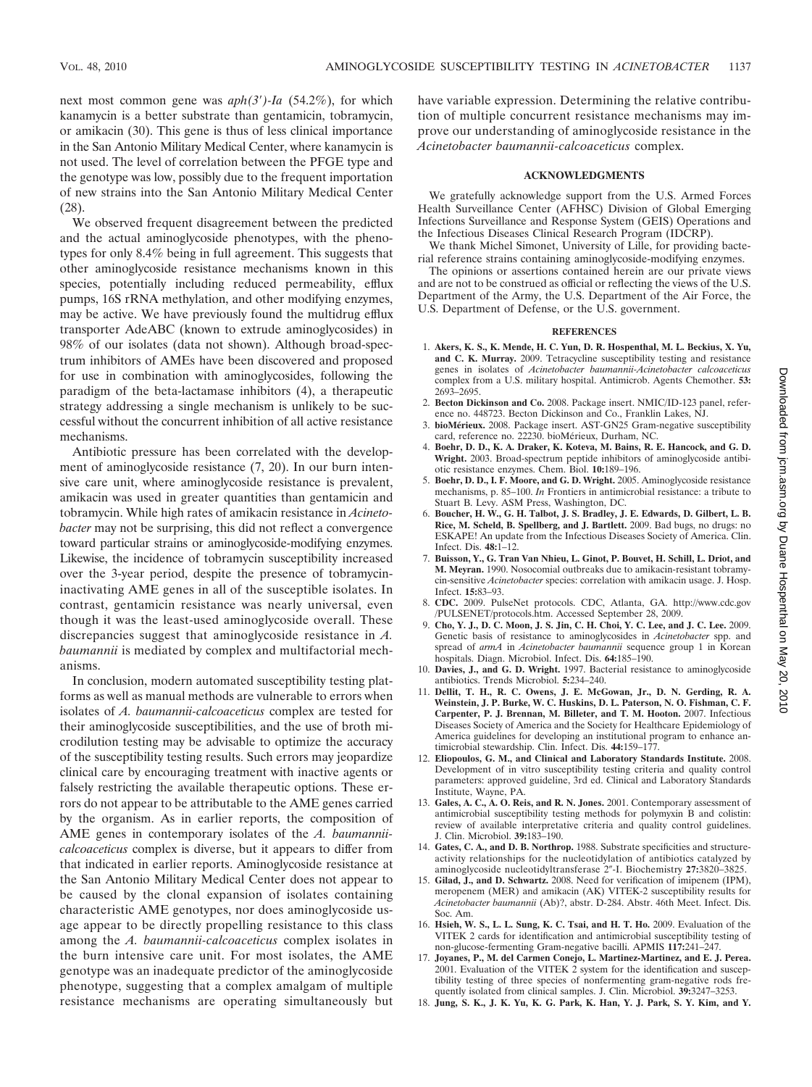next most common gene was *aph(3*-*)-Ia* (54.2%), for which kanamycin is a better substrate than gentamicin, tobramycin, or amikacin (30). This gene is thus of less clinical importance in the San Antonio Military Medical Center, where kanamycin is not used. The level of correlation between the PFGE type and the genotype was low, possibly due to the frequent importation of new strains into the San Antonio Military Medical Center (28).

We observed frequent disagreement between the predicted and the actual aminoglycoside phenotypes, with the phenotypes for only 8.4% being in full agreement. This suggests that other aminoglycoside resistance mechanisms known in this species, potentially including reduced permeability, efflux pumps, 16S rRNA methylation, and other modifying enzymes, may be active. We have previously found the multidrug efflux transporter AdeABC (known to extrude aminoglycosides) in 98% of our isolates (data not shown). Although broad-spectrum inhibitors of AMEs have been discovered and proposed for use in combination with aminoglycosides, following the paradigm of the beta-lactamase inhibitors (4), a therapeutic strategy addressing a single mechanism is unlikely to be successful without the concurrent inhibition of all active resistance mechanisms.

Antibiotic pressure has been correlated with the development of aminoglycoside resistance (7, 20). In our burn intensive care unit, where aminoglycoside resistance is prevalent, amikacin was used in greater quantities than gentamicin and tobramycin. While high rates of amikacin resistance in *Acinetobacter* may not be surprising, this did not reflect a convergence toward particular strains or aminoglycoside-modifying enzymes. Likewise, the incidence of tobramycin susceptibility increased over the 3-year period, despite the presence of tobramycininactivating AME genes in all of the susceptible isolates. In contrast, gentamicin resistance was nearly universal, even though it was the least-used aminoglycoside overall. These discrepancies suggest that aminoglycoside resistance in *A. baumannii* is mediated by complex and multifactorial mechanisms.

In conclusion, modern automated susceptibility testing platforms as well as manual methods are vulnerable to errors when isolates of *A. baumannii-calcoaceticus* complex are tested for their aminoglycoside susceptibilities, and the use of broth microdilution testing may be advisable to optimize the accuracy of the susceptibility testing results. Such errors may jeopardize clinical care by encouraging treatment with inactive agents or falsely restricting the available therapeutic options. These errors do not appear to be attributable to the AME genes carried by the organism. As in earlier reports, the composition of AME genes in contemporary isolates of the *A. baumanniicalcoaceticus* complex is diverse, but it appears to differ from that indicated in earlier reports. Aminoglycoside resistance at the San Antonio Military Medical Center does not appear to be caused by the clonal expansion of isolates containing characteristic AME genotypes, nor does aminoglycoside usage appear to be directly propelling resistance to this class among the *A. baumannii-calcoaceticus* complex isolates in the burn intensive care unit. For most isolates, the AME genotype was an inadequate predictor of the aminoglycoside phenotype, suggesting that a complex amalgam of multiple resistance mechanisms are operating simultaneously but have variable expression. Determining the relative contribution of multiple concurrent resistance mechanisms may improve our understanding of aminoglycoside resistance in the *Acinetobacter baumannii-calcoaceticus* complex.

### **ACKNOWLEDGMENTS**

We gratefully acknowledge support from the U.S. Armed Forces Health Surveillance Center (AFHSC) Division of Global Emerging Infections Surveillance and Response System (GEIS) Operations and the Infectious Diseases Clinical Research Program (IDCRP).

We thank Michel Simonet, University of Lille, for providing bacterial reference strains containing aminoglycoside-modifying enzymes.

The opinions or assertions contained herein are our private views and are not to be construed as official or reflecting the views of the U.S. Department of the Army, the U.S. Department of the Air Force, the U.S. Department of Defense, or the U.S. government.

#### **REFERENCES**

- 1. **Akers, K. S., K. Mende, H. C. Yun, D. R. Hospenthal, M. L. Beckius, X. Yu, and C. K. Murray.** 2009. Tetracycline susceptibility testing and resistance genes in isolates of *Acinetobacter baumannii-Acinetobacter calcoaceticus* complex from a U.S. military hospital. Antimicrob. Agents Chemother. **53:** 2693–2695.
- 2. **Becton Dickinson and Co.** 2008. Package insert. NMIC/ID-123 panel, refer-
- ence no. 448723. Becton Dickinson and Co., Franklin Lakes, NJ. 3. **bioMe´rieux.** 2008. Package insert. AST-GN25 Gram-negative susceptibility card, reference no. 22230. bioMérieux, Durham, NC.
- 4. **Boehr, D. D., K. A. Draker, K. Koteva, M. Bains, R. E. Hancock, and G. D. Wright.** 2003. Broad-spectrum peptide inhibitors of aminoglycoside antibiotic resistance enzymes. Chem. Biol. **10:**189–196.
- 5. **Boehr, D. D., I. F. Moore, and G. D. Wright.** 2005. Aminoglycoside resistance mechanisms, p. 85–100. *In* Frontiers in antimicrobial resistance: a tribute to Stuart B. Levy. ASM Press, Washington, DC.
- 6. **Boucher, H. W., G. H. Talbot, J. S. Bradley, J. E. Edwards, D. Gilbert, L. B. Rice, M. Scheld, B. Spellberg, and J. Bartlett.** 2009. Bad bugs, no drugs: no ESKAPE! An update from the Infectious Diseases Society of America. Clin. Infect. Dis. **48:**1–12.
- 7. **Buisson, Y., G. Tran Van Nhieu, L. Ginot, P. Bouvet, H. Schill, L. Driot, and M. Meyran.** 1990. Nosocomial outbreaks due to amikacin-resistant tobramycin-sensitive *Acinetobacter* species: correlation with amikacin usage. J. Hosp. Infect. **15:**83–93.
- 8. **CDC.** 2009. PulseNet protocols. CDC, Atlanta, GA. http://www.cdc.gov /PULSENET/protocols.htm. Accessed September 28, 2009.
- 9. **Cho, Y. J., D. C. Moon, J. S. Jin, C. H. Choi, Y. C. Lee, and J. C. Lee.** 2009. Genetic basis of resistance to aminoglycosides in *Acinetobacter* spp. and spread of *armA* in *Acinetobacter baumannii* sequence group 1 in Korean hospitals. Diagn. Microbiol. Infect. Dis. **64:**185–190.
- 10. **Davies, J., and G. D. Wright.** 1997. Bacterial resistance to aminoglycoside antibiotics. Trends Microbiol. **5:**234–240.
- 11. **Dellit, T. H., R. C. Owens, J. E. McGowan, Jr., D. N. Gerding, R. A. Weinstein, J. P. Burke, W. C. Huskins, D. L. Paterson, N. O. Fishman, C. F. Carpenter, P. J. Brennan, M. Billeter, and T. M. Hooton.** 2007. Infectious Diseases Society of America and the Society for Healthcare Epidemiology of America guidelines for developing an institutional program to enhance antimicrobial stewardship. Clin. Infect. Dis. **44:**159–177.
- 12. **Eliopoulos, G. M., and Clinical and Laboratory Standards Institute.** 2008. Development of in vitro susceptibility testing criteria and quality control parameters: approved guideline, 3rd ed. Clinical and Laboratory Standards Institute, Wayne, PA.
- 13. **Gales, A. C., A. O. Reis, and R. N. Jones.** 2001. Contemporary assessment of antimicrobial susceptibility testing methods for polymyxin B and colistin: review of available interpretative criteria and quality control guidelines. J. Clin. Microbiol. **39:**183–190.
- 14. **Gates, C. A., and D. B. Northrop.** 1988. Substrate specificities and structureactivity relationships for the nucleotidylation of antibiotics catalyzed by aminoglycoside nucleotidyltransferase 2"-I. Biochemistry 27:3820-3825.
- 15. **Gilad, J., and D. Schwartz.** 2008. Need for verification of imipenem (IPM), meropenem (MER) and amikacin (AK) VITEK-2 susceptibility results for *Acinetobacter baumannii* (Ab)?, abstr. D-284. Abstr. 46th Meet. Infect. Dis. Soc. Am.
- 16. **Hsieh, W. S., L. L. Sung, K. C. Tsai, and H. T. Ho.** 2009. Evaluation of the VITEK 2 cards for identification and antimicrobial susceptibility testing of non-glucose-fermenting Gram-negative bacilli. APMIS **117:**241–247.
- 17. **Joyanes, P., M. del Carmen Conejo, L. Martinez-Martinez, and E. J. Perea.** 2001. Evaluation of the VITEK 2 system for the identification and susceptibility testing of three species of nonfermenting gram-negative rods frequently isolated from clinical samples. J. Clin. Microbiol. **39:**3247–3253.
- 18. **Jung, S. K., J. K. Yu, K. G. Park, K. Han, Y. J. Park, S. Y. Kim, and Y.**